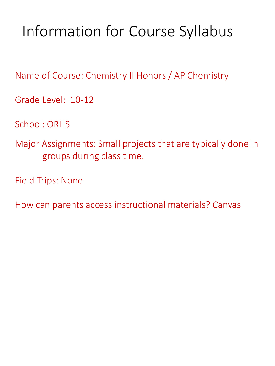# Information for Course Syllabus

Name of Course: Chemistry II Honors / AP Chemistry

Grade Level: 10-12

School: ORHS

Major Assignments: Small projects that are typically done in groups during class time.

Field Trips: None

How can parents access instructional materials? Canvas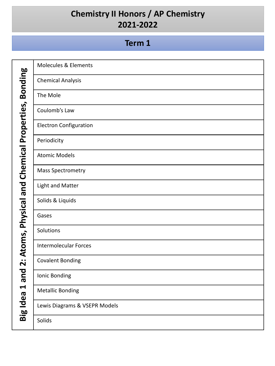#### **Term 1**

Big Idea 1 and 2: Atoms, Physical and Chemical Properties, Bonding **Big Idea 1 and 2: Atoms, Physical and Chemical Properties, Bonding**

| <b>Molecules &amp; Elements</b> |
|---------------------------------|
| <b>Chemical Analysis</b>        |
| The Mole                        |
| Coulomb's Law                   |
| <b>Electron Configuration</b>   |
| Periodicity                     |
| <b>Atomic Models</b>            |
| Mass Spectrometry               |
| Light and Matter                |
| Solids & Liquids                |
| Gases                           |
| Solutions                       |
| <b>Intermolecular Forces</b>    |
| <b>Covalent Bonding</b>         |
| Ionic Bonding                   |
| <b>Metallic Bonding</b>         |
| Lewis Diagrams & VSEPR Models   |
| Solids                          |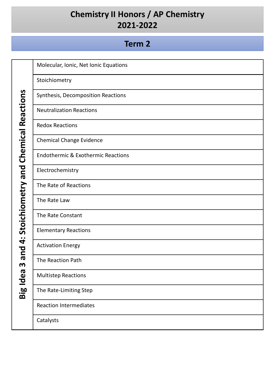#### **Term 2**

Molecular, Ionic, Net Ionic Equations

Stoichiometry

Synthesis, Decomposition Reactions

Neutralization Reactions

Redox Reactions

Chemical Change Evidence

Endothermic & Exothermic Reactions

Electrochemistry

The Rate of Reactions

The Rate Law

The Rate Constant

Elementary Reactions

Activation Energy

The Reaction Path

Multistep Reactions

The Rate-Limiting Step

Reaction Intermediates

**Catalysts** 

Big Idea 3 and 4: Stoichiometry and Chemical Reactions **Big Idea 3 and 4: Stoichiometry and Chemical Reactions**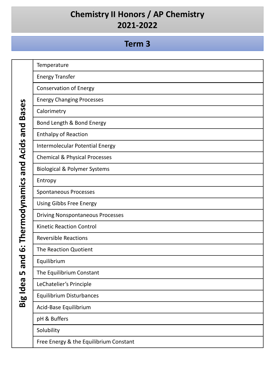# **Term 3**

| <b>Bases</b><br>pue<br>Thermodynamics and Acids | Temperature                              |
|-------------------------------------------------|------------------------------------------|
|                                                 | <b>Energy Transfer</b>                   |
|                                                 | <b>Conservation of Energy</b>            |
|                                                 | <b>Energy Changing Processes</b>         |
|                                                 | Calorimetry                              |
|                                                 | Bond Length & Bond Energy                |
|                                                 | <b>Enthalpy of Reaction</b>              |
|                                                 | Intermolecular Potential Energy          |
|                                                 | <b>Chemical &amp; Physical Processes</b> |
|                                                 | <b>Biological &amp; Polymer Systems</b>  |
|                                                 | Entropy                                  |
|                                                 | <b>Spontaneous Processes</b>             |
|                                                 | <b>Using Gibbs Free Energy</b>           |
|                                                 | <b>Driving Nonspontaneous Processes</b>  |
|                                                 | <b>Kinetic Reaction Control</b>          |
| $\bullet\; \bullet$<br>$\boldsymbol{\omega}$    | <b>Reversible Reactions</b>              |
|                                                 | The Reaction Quotient                    |
| pue                                             | Equilibrium                              |
| ம                                               | The Equilibrium Constant                 |
| σ<br>$\ddot{\mathbf{u}}$                        | LeChatelier's Principle                  |
| <b>big Id</b>                                   | <b>Equilibrium Disturbances</b>          |
|                                                 | Acid-Base Equilibrium                    |
|                                                 | pH & Buffers                             |
|                                                 | Solubility                               |
|                                                 | Free Energy & the Equilibrium Constant   |